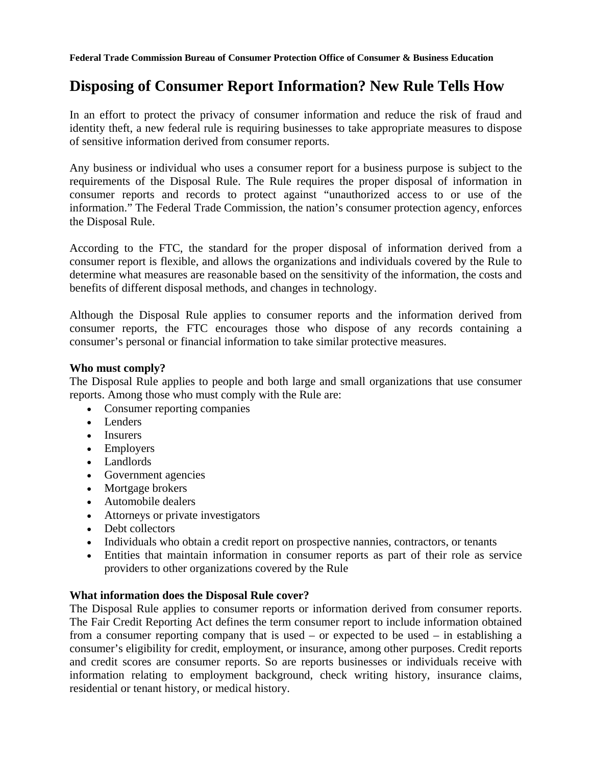## **Disposing of Consumer Report Information? New Rule Tells How**

In an effort to protect the privacy of consumer information and reduce the risk of fraud and identity theft, a new federal rule is requiring businesses to take appropriate measures to dispose of sensitive information derived from consumer reports.

Any business or individual who uses a consumer report for a business purpose is subject to the requirements of the Disposal Rule. The Rule requires the proper disposal of information in consumer reports and records to protect against "unauthorized access to or use of the information." The Federal Trade Commission, the nation's consumer protection agency, enforces the Disposal Rule.

According to the FTC, the standard for the proper disposal of information derived from a consumer report is flexible, and allows the organizations and individuals covered by the Rule to determine what measures are reasonable based on the sensitivity of the information, the costs and benefits of different disposal methods, and changes in technology.

Although the Disposal Rule applies to consumer reports and the information derived from consumer reports, the FTC encourages those who dispose of any records containing a consumer's personal or financial information to take similar protective measures.

## **Who must comply?**

The Disposal Rule applies to people and both large and small organizations that use consumer reports. Among those who must comply with the Rule are:

- Consumer reporting companies
- Lenders
- Insurers
- Employers
- Landlords
- Government agencies
- Mortgage brokers
- Automobile dealers
- Attorneys or private investigators
- Debt collectors
- Individuals who obtain a credit report on prospective nannies, contractors, or tenants
- Entities that maintain information in consumer reports as part of their role as service providers to other organizations covered by the Rule

## **What information does the Disposal Rule cover?**

The Disposal Rule applies to consumer reports or information derived from consumer reports. The Fair Credit Reporting Act defines the term consumer report to include information obtained from a consumer reporting company that is used – or expected to be used – in establishing a consumer's eligibility for credit, employment, or insurance, among other purposes. Credit reports and credit scores are consumer reports. So are reports businesses or individuals receive with information relating to employment background, check writing history, insurance claims, residential or tenant history, or medical history.